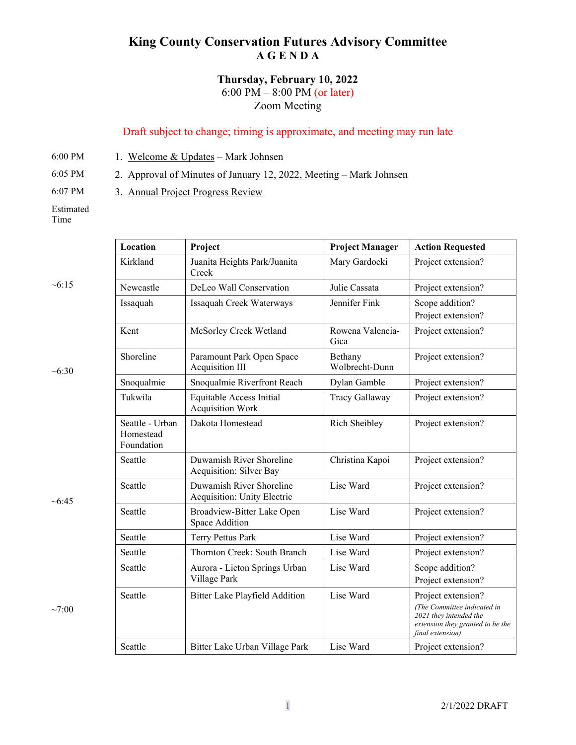## **King County Conservation Futures Advisory Committee A G E N D A**

## **Thursday, February 10, 2022** 6:00 PM – 8:00 PM (or later) Zoom Meeting

## Draft subject to change; timing is approximate, and meeting may run late

6:00 PM 1. Welcome  $&$  Updates – Mark Johnsen

6:05 PM 2. Approval of Minutes of January 12, 2022, Meeting – Mark Johnsen

6:07 PM 3. Annual Project Progress Review

Estimated Time

 $~15$ 

 $~10^{-6}$ :30

 $~10.45$ 

 $~100$ 

| Location                                   | Project                                                 | <b>Project Manager</b>    | <b>Action Requested</b>                                                                                                             |
|--------------------------------------------|---------------------------------------------------------|---------------------------|-------------------------------------------------------------------------------------------------------------------------------------|
| Kirkland                                   | Juanita Heights Park/Juanita<br>Creek                   | Mary Gardocki             | Project extension?                                                                                                                  |
| Newcastle                                  | DeLeo Wall Conservation                                 | Julie Cassata             | Project extension?                                                                                                                  |
| Issaquah                                   | Issaquah Creek Waterways                                | Jennifer Fink             | Scope addition?<br>Project extension?                                                                                               |
| Kent                                       | McSorley Creek Wetland                                  | Rowena Valencia-<br>Gica  | Project extension?                                                                                                                  |
| Shoreline                                  | Paramount Park Open Space<br>Acquisition III            | Bethany<br>Wolbrecht-Dunn | Project extension?                                                                                                                  |
| Snoqualmie                                 | Snoqualmie Riverfront Reach                             | Dylan Gamble              | Project extension?                                                                                                                  |
| Tukwila                                    | Equitable Access Initial<br><b>Acquisition Work</b>     | Tracy Gallaway            | Project extension?                                                                                                                  |
| Seattle - Urban<br>Homestead<br>Foundation | Dakota Homestead                                        | Rich Sheibley             | Project extension?                                                                                                                  |
| Seattle                                    | Duwamish River Shoreline<br>Acquisition: Silver Bay     | Christina Kapoi           | Project extension?                                                                                                                  |
| Seattle                                    | Duwamish River Shoreline<br>Acquisition: Unity Electric | Lise Ward                 | Project extension?                                                                                                                  |
| Seattle                                    | Broadview-Bitter Lake Open<br>Space Addition            | Lise Ward                 | Project extension?                                                                                                                  |
| Seattle                                    | Terry Pettus Park                                       | Lise Ward                 | Project extension?                                                                                                                  |
| Seattle                                    | Thornton Creek: South Branch                            | Lise Ward                 | Project extension?                                                                                                                  |
| Seattle                                    | Aurora - Licton Springs Urban<br>Village Park           | Lise Ward                 | Scope addition?<br>Project extension?                                                                                               |
| Seattle                                    | Bitter Lake Playfield Addition                          | Lise Ward                 | Project extension?<br>(The Committee indicated in<br>2021 they intended the<br>extension they granted to be the<br>final extension) |
| Seattle                                    | Bitter Lake Urban Village Park                          | Lise Ward                 | Project extension?                                                                                                                  |
|                                            |                                                         |                           |                                                                                                                                     |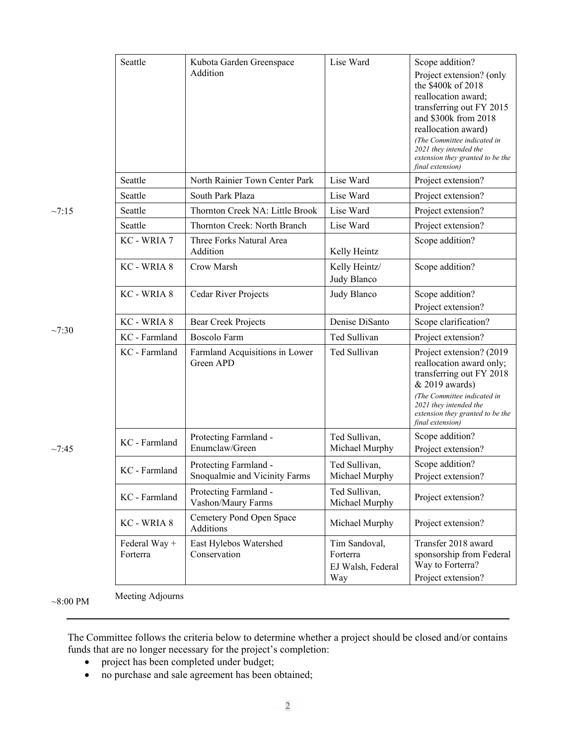|             | Seattle                   | Kubota Garden Greenspace<br>Addition                   | Lise Ward                                             | Scope addition?<br>Project extension? (only<br>the \$400k of 2018<br>reallocation award;<br>transferring out FY 2015<br>and \$300k from 2018<br>reallocation award)<br>(The Committee indicated in<br>2021 they intended the<br>extension they granted to be the<br>final extension) |
|-------------|---------------------------|--------------------------------------------------------|-------------------------------------------------------|--------------------------------------------------------------------------------------------------------------------------------------------------------------------------------------------------------------------------------------------------------------------------------------|
|             | Seattle                   | North Rainier Town Center Park                         | Lise Ward                                             | Project extension?                                                                                                                                                                                                                                                                   |
|             | Seattle                   | South Park Plaza                                       | Lise Ward                                             | Project extension?                                                                                                                                                                                                                                                                   |
| $\sim 7:15$ | Seattle                   | Thornton Creek NA: Little Brook                        | Lise Ward                                             | Project extension?                                                                                                                                                                                                                                                                   |
|             | Seattle                   | Thornton Creek: North Branch                           | Lise Ward                                             | Project extension?                                                                                                                                                                                                                                                                   |
|             | KC - WRIA 7               | Three Forks Natural Area<br>Addition                   | Kelly Heintz                                          | Scope addition?                                                                                                                                                                                                                                                                      |
|             | KC - WRIA 8               | Crow Marsh                                             | Kelly Heintz/<br>Judy Blanco                          | Scope addition?                                                                                                                                                                                                                                                                      |
|             | KC - WRIA 8               | Cedar River Projects                                   | Judy Blanco                                           | Scope addition?<br>Project extension?                                                                                                                                                                                                                                                |
|             | KC - WRIA 8               | <b>Bear Creek Projects</b>                             | Denise DiSanto                                        | Scope clarification?                                                                                                                                                                                                                                                                 |
| $\sim 7:30$ | KC - Farmland             | <b>Boscolo Farm</b>                                    | Ted Sullivan                                          | Project extension?                                                                                                                                                                                                                                                                   |
|             | KC - Farmland             | Farmland Acquisitions in Lower<br>Green APD            | Ted Sullivan                                          | Project extension? (2019)<br>reallocation award only;<br>transferring out FY 2018<br>& 2019 awards)<br>(The Committee indicated in<br>2021 they intended the<br>extension they granted to be the<br>final extension)                                                                 |
| ~7:45       | KC - Farmland             | Protecting Farmland -<br>Enumclaw/Green                | Ted Sullivan,<br>Michael Murphy                       | Scope addition?<br>Project extension?                                                                                                                                                                                                                                                |
|             | KC - Farmland             | Protecting Farmland -<br>Snoqualmie and Vicinity Farms | Ted Sullivan,<br>Michael Murphy                       | Scope addition?<br>Project extension?                                                                                                                                                                                                                                                |
|             | KC - Farmland             | Protecting Farmland -<br>Vashon/Maury Farms            | Ted Sullivan,<br>Michael Murphy                       | Project extension?                                                                                                                                                                                                                                                                   |
|             | KC - WRIA 8               | Cemetery Pond Open Space<br>Additions                  | Michael Murphy                                        | Project extension?                                                                                                                                                                                                                                                                   |
|             | Federal Way +<br>Forterra | East Hylebos Watershed<br>Conservation                 | Tim Sandoval,<br>Forterra<br>EJ Walsh, Federal<br>Way | Transfer 2018 award<br>sponsorship from Federal<br>Way to Forterra?<br>Project extension?                                                                                                                                                                                            |

 $\sim$ 8:00 PM Meeting Adjourns

The Committee follows the criteria below to determine whether a project should be closed and/or contains funds that are no longer necessary for the project's completion:

- project has been completed under budget;
- no purchase and sale agreement has been obtained;